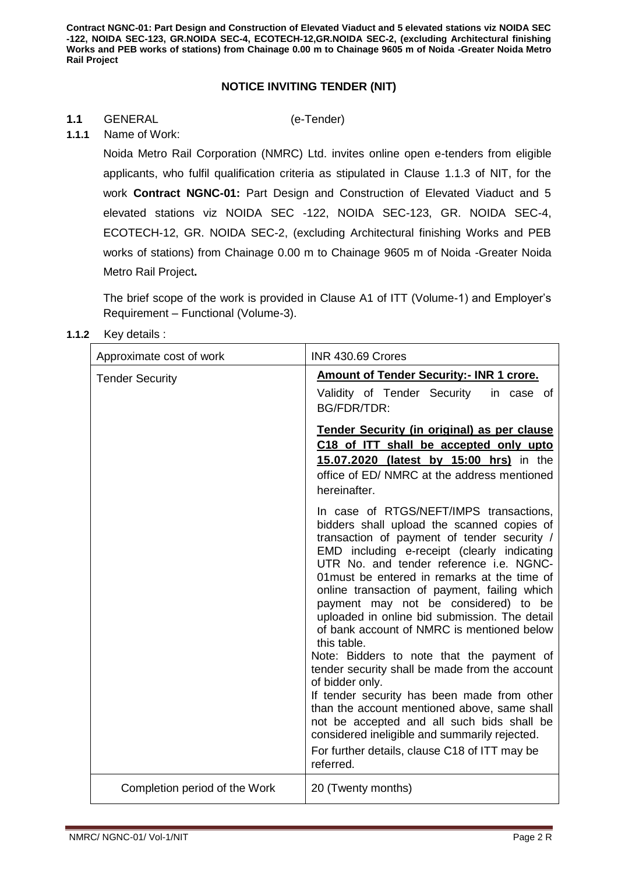# **NOTICE INVITING TENDER (NIT)**

## **1.1** GENERAL (e-Tender)

**1.1.1** Name of Work:

Noida Metro Rail Corporation (NMRC) Ltd. invites online open e-tenders from eligible applicants, who fulfil qualification criteria as stipulated in Clause 1.1.3 of NIT, for the work **Contract NGNC-01:** Part Design and Construction of Elevated Viaduct and 5 elevated stations viz NOIDA SEC -122, NOIDA SEC-123, GR. NOIDA SEC-4, ECOTECH-12, GR. NOIDA SEC-2, (excluding Architectural finishing Works and PEB works of stations) from Chainage 0.00 m to Chainage 9605 m of Noida -Greater Noida Metro Rail Project**.**

The brief scope of the work is provided in Clause A1 of ITT (Volume-1) and Employer's Requirement – Functional (Volume-3).

**1.1.2** Key details :

| Approximate cost of work      | INR 430.69 Crores                                                                                                                                                                                                                                                                                                                                                                                                                                                                                                                                                                                                                                                                                                                                                                                                                                                  |  |  |  |  |
|-------------------------------|--------------------------------------------------------------------------------------------------------------------------------------------------------------------------------------------------------------------------------------------------------------------------------------------------------------------------------------------------------------------------------------------------------------------------------------------------------------------------------------------------------------------------------------------------------------------------------------------------------------------------------------------------------------------------------------------------------------------------------------------------------------------------------------------------------------------------------------------------------------------|--|--|--|--|
| <b>Tender Security</b>        | <b>Amount of Tender Security:- INR 1 crore.</b>                                                                                                                                                                                                                                                                                                                                                                                                                                                                                                                                                                                                                                                                                                                                                                                                                    |  |  |  |  |
|                               | Validity of Tender Security<br>in case of<br><b>BG/FDR/TDR:</b>                                                                                                                                                                                                                                                                                                                                                                                                                                                                                                                                                                                                                                                                                                                                                                                                    |  |  |  |  |
|                               | Tender Security (in original) as per clause<br>C18 of ITT shall be accepted only upto<br>15.07.2020 (latest by 15:00 hrs) in the<br>office of ED/ NMRC at the address mentioned<br>hereinafter.                                                                                                                                                                                                                                                                                                                                                                                                                                                                                                                                                                                                                                                                    |  |  |  |  |
|                               | In case of RTGS/NEFT/IMPS transactions,<br>bidders shall upload the scanned copies of<br>transaction of payment of tender security /<br>EMD including e-receipt (clearly indicating<br>UTR No. and tender reference i.e. NGNC-<br>01 must be entered in remarks at the time of<br>online transaction of payment, failing which<br>payment may not be considered) to be<br>uploaded in online bid submission. The detail<br>of bank account of NMRC is mentioned below<br>this table.<br>Note: Bidders to note that the payment of<br>tender security shall be made from the account<br>of bidder only.<br>If tender security has been made from other<br>than the account mentioned above, same shall<br>not be accepted and all such bids shall be<br>considered ineligible and summarily rejected.<br>For further details, clause C18 of ITT may be<br>referred. |  |  |  |  |
| Completion period of the Work | 20 (Twenty months)                                                                                                                                                                                                                                                                                                                                                                                                                                                                                                                                                                                                                                                                                                                                                                                                                                                 |  |  |  |  |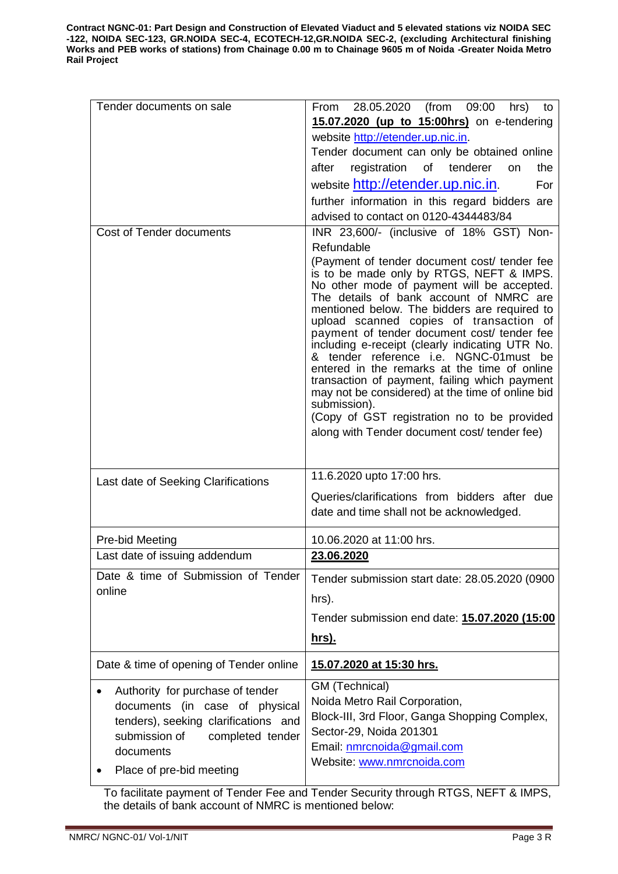| Tender documents on sale                                                                                                                                                                 | 28.05.2020 (from<br>From<br>09:00<br>hrs)<br>to<br>15.07.2020 (up to 15:00hrs) on e-tendering<br>website http://etender.up.nic.in.                                                                                                                                                                                                                                                                                                                                                                                                                                                                                                                                                           |  |  |  |  |
|------------------------------------------------------------------------------------------------------------------------------------------------------------------------------------------|----------------------------------------------------------------------------------------------------------------------------------------------------------------------------------------------------------------------------------------------------------------------------------------------------------------------------------------------------------------------------------------------------------------------------------------------------------------------------------------------------------------------------------------------------------------------------------------------------------------------------------------------------------------------------------------------|--|--|--|--|
|                                                                                                                                                                                          | Tender document can only be obtained online                                                                                                                                                                                                                                                                                                                                                                                                                                                                                                                                                                                                                                                  |  |  |  |  |
|                                                                                                                                                                                          | registration<br>of tenderer<br>after<br>the<br>on                                                                                                                                                                                                                                                                                                                                                                                                                                                                                                                                                                                                                                            |  |  |  |  |
|                                                                                                                                                                                          | website http://etender.up.nic.in.<br>For                                                                                                                                                                                                                                                                                                                                                                                                                                                                                                                                                                                                                                                     |  |  |  |  |
|                                                                                                                                                                                          | further information in this regard bidders are                                                                                                                                                                                                                                                                                                                                                                                                                                                                                                                                                                                                                                               |  |  |  |  |
| Cost of Tender documents                                                                                                                                                                 | advised to contact on 0120-4344483/84<br>INR 23,600/- (inclusive of 18% GST) Non-                                                                                                                                                                                                                                                                                                                                                                                                                                                                                                                                                                                                            |  |  |  |  |
|                                                                                                                                                                                          | Refundable                                                                                                                                                                                                                                                                                                                                                                                                                                                                                                                                                                                                                                                                                   |  |  |  |  |
|                                                                                                                                                                                          | (Payment of tender document cost/ tender fee<br>is to be made only by RTGS, NEFT & IMPS.<br>No other mode of payment will be accepted.<br>The details of bank account of NMRC are<br>mentioned below. The bidders are required to<br>upload scanned copies of transaction of<br>payment of tender document cost/ tender fee<br>including e-receipt (clearly indicating UTR No.<br>& tender reference i.e. NGNC-01must be<br>entered in the remarks at the time of online<br>transaction of payment, failing which payment<br>may not be considered) at the time of online bid<br>submission).<br>(Copy of GST registration no to be provided<br>along with Tender document cost/ tender fee) |  |  |  |  |
|                                                                                                                                                                                          | 11.6.2020 upto 17:00 hrs.                                                                                                                                                                                                                                                                                                                                                                                                                                                                                                                                                                                                                                                                    |  |  |  |  |
| Last date of Seeking Clarifications                                                                                                                                                      | Queries/clarifications from bidders after due<br>date and time shall not be acknowledged.                                                                                                                                                                                                                                                                                                                                                                                                                                                                                                                                                                                                    |  |  |  |  |
| Pre-bid Meeting                                                                                                                                                                          | 10.06.2020 at 11:00 hrs.                                                                                                                                                                                                                                                                                                                                                                                                                                                                                                                                                                                                                                                                     |  |  |  |  |
| Last date of issuing addendum                                                                                                                                                            | 23.06.2020                                                                                                                                                                                                                                                                                                                                                                                                                                                                                                                                                                                                                                                                                   |  |  |  |  |
| Date & time of Submission of Tender                                                                                                                                                      | Tender submission start date: 28.05.2020 (0900                                                                                                                                                                                                                                                                                                                                                                                                                                                                                                                                                                                                                                               |  |  |  |  |
| online                                                                                                                                                                                   | hrs).                                                                                                                                                                                                                                                                                                                                                                                                                                                                                                                                                                                                                                                                                        |  |  |  |  |
|                                                                                                                                                                                          | Tender submission end date: 15.07.2020 (15:00                                                                                                                                                                                                                                                                                                                                                                                                                                                                                                                                                                                                                                                |  |  |  |  |
|                                                                                                                                                                                          | <u>hrs).</u>                                                                                                                                                                                                                                                                                                                                                                                                                                                                                                                                                                                                                                                                                 |  |  |  |  |
| Date & time of opening of Tender online                                                                                                                                                  | 15.07.2020 at 15:30 hrs.                                                                                                                                                                                                                                                                                                                                                                                                                                                                                                                                                                                                                                                                     |  |  |  |  |
| Authority for purchase of tender<br>documents (in case of physical<br>tenders), seeking clarifications and<br>submission of<br>completed tender<br>documents<br>Place of pre-bid meeting | GM (Technical)<br>Noida Metro Rail Corporation,<br>Block-III, 3rd Floor, Ganga Shopping Complex,<br>Sector-29, Noida 201301<br>Email: nmrcnoida@gmail.com<br>Website: www.nmrcnoida.com                                                                                                                                                                                                                                                                                                                                                                                                                                                                                                      |  |  |  |  |

To facilitate payment of Tender Fee and Tender Security through RTGS, NEFT & IMPS, the details of bank account of NMRC is mentioned below: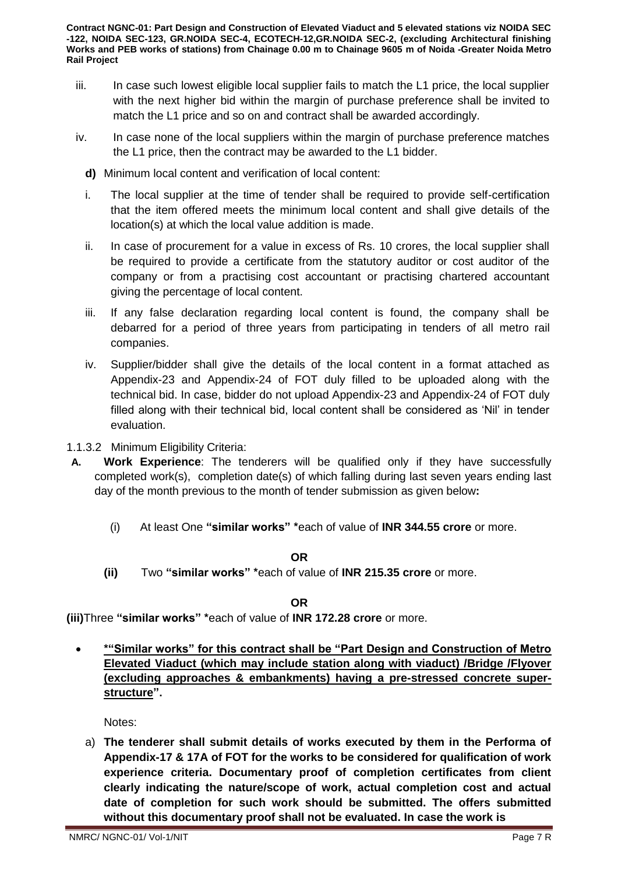- iii. In case such lowest eligible local supplier fails to match the L1 price, the local supplier with the next higher bid within the margin of purchase preference shall be invited to match the L1 price and so on and contract shall be awarded accordingly.
- iv. In case none of the local suppliers within the margin of purchase preference matches the L1 price, then the contract may be awarded to the L1 bidder.
	- **d)** Minimum local content and verification of local content:
	- i. The local supplier at the time of tender shall be required to provide self-certification that the item offered meets the minimum local content and shall give details of the location(s) at which the local value addition is made.
	- ii. In case of procurement for a value in excess of Rs. 10 crores, the local supplier shall be required to provide a certificate from the statutory auditor or cost auditor of the company or from a practising cost accountant or practising chartered accountant giving the percentage of local content.
	- iii. If any false declaration regarding local content is found, the company shall be debarred for a period of three years from participating in tenders of all metro rail companies.
	- iv. Supplier/bidder shall give the details of the local content in a format attached as Appendix-23 and Appendix-24 of FOT duly filled to be uploaded along with the technical bid. In case, bidder do not upload Appendix-23 and Appendix-24 of FOT duly filled along with their technical bid, local content shall be considered as 'Nil' in tender evaluation.
- 1.1.3.2 Minimum Eligibility Criteria:
- **A. Work Experience**: The tenderers will be qualified only if they have successfully completed work(s), completion date(s) of which falling during last seven years ending last day of the month previous to the month of tender submission as given below**:**
	- (i) At least One **"similar works" \***each of value of **INR 344.55 crore** or more.

## **OR**

**(ii)** Two **"similar works" \***each of value of **INR 215.35 crore** or more.

**OR**

**(iii)**Three **"similar works" \***each of value of **INR 172.28 crore** or more.

 **\*"Similar works" for this contract shall be "Part Design and Construction of Metro Elevated Viaduct (which may include station along with viaduct) /Bridge /Flyover (excluding approaches & embankments) having a pre-stressed concrete superstructure".**

Notes:

a) **The tenderer shall submit details of works executed by them in the Performa of Appendix-17 & 17A of FOT for the works to be considered for qualification of work experience criteria. Documentary proof of completion certificates from client clearly indicating the nature/scope of work, actual completion cost and actual date of completion for such work should be submitted. The offers submitted without this documentary proof shall not be evaluated. In case the work is**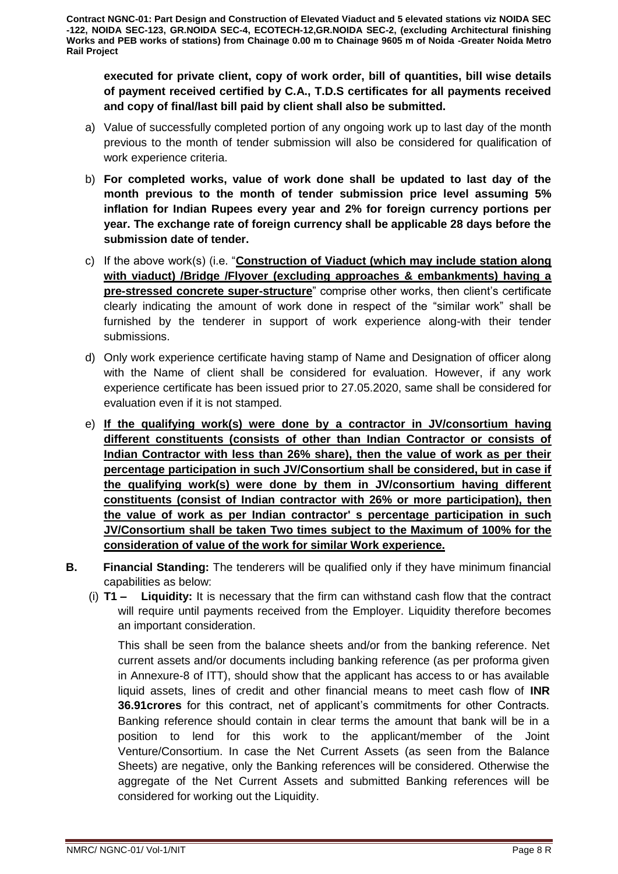**executed for private client, copy of work order, bill of quantities, bill wise details of payment received certified by C.A., T.D.S certificates for all payments received and copy of final/last bill paid by client shall also be submitted.**

- a) Value of successfully completed portion of any ongoing work up to last day of the month previous to the month of tender submission will also be considered for qualification of work experience criteria.
- b) **For completed works, value of work done shall be updated to last day of the month previous to the month of tender submission price level assuming 5% inflation for Indian Rupees every year and 2% for foreign currency portions per year. The exchange rate of foreign currency shall be applicable 28 days before the submission date of tender.**
- c) If the above work(s) (i.e. "**Construction of Viaduct (which may include station along with viaduct) /Bridge /Flyover (excluding approaches & embankments) having a pre-stressed concrete super-structure**" comprise other works, then client's certificate clearly indicating the amount of work done in respect of the "similar work" shall be furnished by the tenderer in support of work experience along-with their tender submissions.
- d) Only work experience certificate having stamp of Name and Designation of officer along with the Name of client shall be considered for evaluation. However, if any work experience certificate has been issued prior to 27.05.2020, same shall be considered for evaluation even if it is not stamped.
- e) **If the qualifying work(s) were done by a contractor in JV/consortium having different constituents (consists of other than Indian Contractor or consists of Indian Contractor with less than 26% share), then the value of work as per their percentage participation in such JV/Consortium shall be considered, but in case if the qualifying work(s) were done by them in JV/consortium having different constituents (consist of Indian contractor with 26% or more participation), then the value of work as per Indian contractor' s percentage participation in such JV/Consortium shall be taken Two times subject to the Maximum of 100% for the consideration of value of the work for similar Work experience.**
- **B. Financial Standing:** The tenderers will be qualified only if they have minimum financial capabilities as below:
	- (i) **T1 – Liquidity:** It is necessary that the firm can withstand cash flow that the contract will require until payments received from the Employer. Liquidity therefore becomes an important consideration.

This shall be seen from the balance sheets and/or from the banking reference. Net current assets and/or documents including banking reference (as per proforma given in Annexure-8 of ITT), should show that the applicant has access to or has available liquid assets, lines of credit and other financial means to meet cash flow of **INR 36.91crores** for this contract, net of applicant's commitments for other Contracts. Banking reference should contain in clear terms the amount that bank will be in a position to lend for this work to the applicant/member of the Joint Venture/Consortium. In case the Net Current Assets (as seen from the Balance Sheets) are negative, only the Banking references will be considered. Otherwise the aggregate of the Net Current Assets and submitted Banking references will be considered for working out the Liquidity.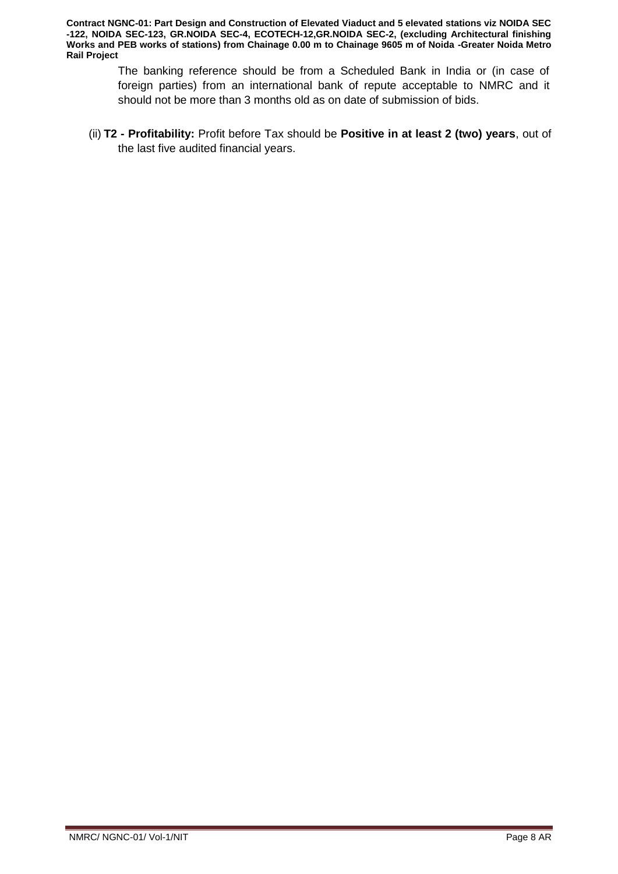> The banking reference should be from a Scheduled Bank in India or (in case of foreign parties) from an international bank of repute acceptable to NMRC and it should not be more than 3 months old as on date of submission of bids.

(ii) **T2 - Profitability:** Profit before Tax should be **Positive in at least 2 (two) years**, out of the last five audited financial years.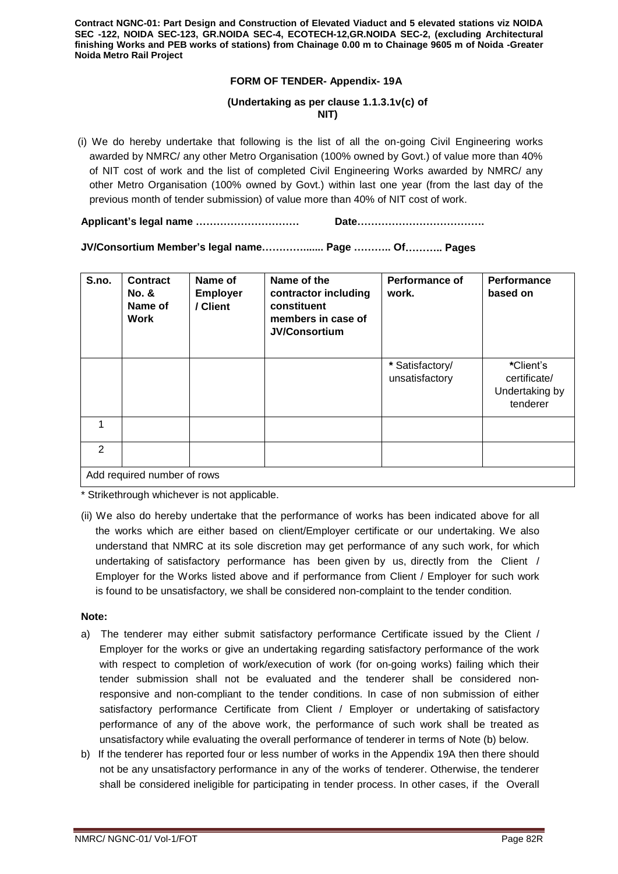### **FORM OF TENDER- Appendix- 19A**

#### **(Undertaking as per clause 1.1.3.1v(c) of NIT)**

(i) We do hereby undertake that following is the list of all the on-going Civil Engineering works awarded by NMRC/ any other Metro Organisation (100% owned by Govt.) of value more than 40% of NIT cost of work and the list of completed Civil Engineering Works awarded by NMRC/ any other Metro Organisation (100% owned by Govt.) within last one year (from the last day of the previous month of tender submission) of value more than 40% of NIT cost of work.

**Applicant's legal name ………………………… Date……………………………….** 

**JV/Consortium Member's legal name…………....... Page ……….. Of……….. Pages**

| S.no.         | Contract<br><b>No. &amp;</b><br>Name of<br><b>Work</b> | Name of<br><b>Employer</b><br>/ Client | Name of the<br>contractor including<br>constituent<br>members in case of<br><b>JV/Consortium</b> | <b>Performance of</b><br>work.    | <b>Performance</b><br>based on                          |  |
|---------------|--------------------------------------------------------|----------------------------------------|--------------------------------------------------------------------------------------------------|-----------------------------------|---------------------------------------------------------|--|
|               |                                                        |                                        |                                                                                                  | * Satisfactory/<br>unsatisfactory | *Client's<br>certificate/<br>Undertaking by<br>tenderer |  |
|               |                                                        |                                        |                                                                                                  |                                   |                                                         |  |
| $\mathcal{P}$ |                                                        |                                        |                                                                                                  |                                   |                                                         |  |
|               | Add required number of rows                            |                                        |                                                                                                  |                                   |                                                         |  |

Strikethrough whichever is not applicable.

(ii) We also do hereby undertake that the performance of works has been indicated above for all the works which are either based on client/Employer certificate or our undertaking. We also understand that NMRC at its sole discretion may get performance of any such work, for which undertaking of satisfactory performance has been given by us, directly from the Client / Employer for the Works listed above and if performance from Client / Employer for such work is found to be unsatisfactory, we shall be considered non-complaint to the tender condition.

### **Note:**

- a) The tenderer may either submit satisfactory performance Certificate issued by the Client / Employer for the works or give an undertaking regarding satisfactory performance of the work with respect to completion of work/execution of work (for on-going works) failing which their tender submission shall not be evaluated and the tenderer shall be considered nonresponsive and non-compliant to the tender conditions. In case of non submission of either satisfactory performance Certificate from Client / Employer or undertaking of satisfactory performance of any of the above work, the performance of such work shall be treated as unsatisfactory while evaluating the overall performance of tenderer in terms of Note (b) below.
- b) If the tenderer has reported four or less number of works in the Appendix 19A then there should not be any unsatisfactory performance in any of the works of tenderer. Otherwise, the tenderer shall be considered ineligible for participating in tender process. In other cases, if the Overall